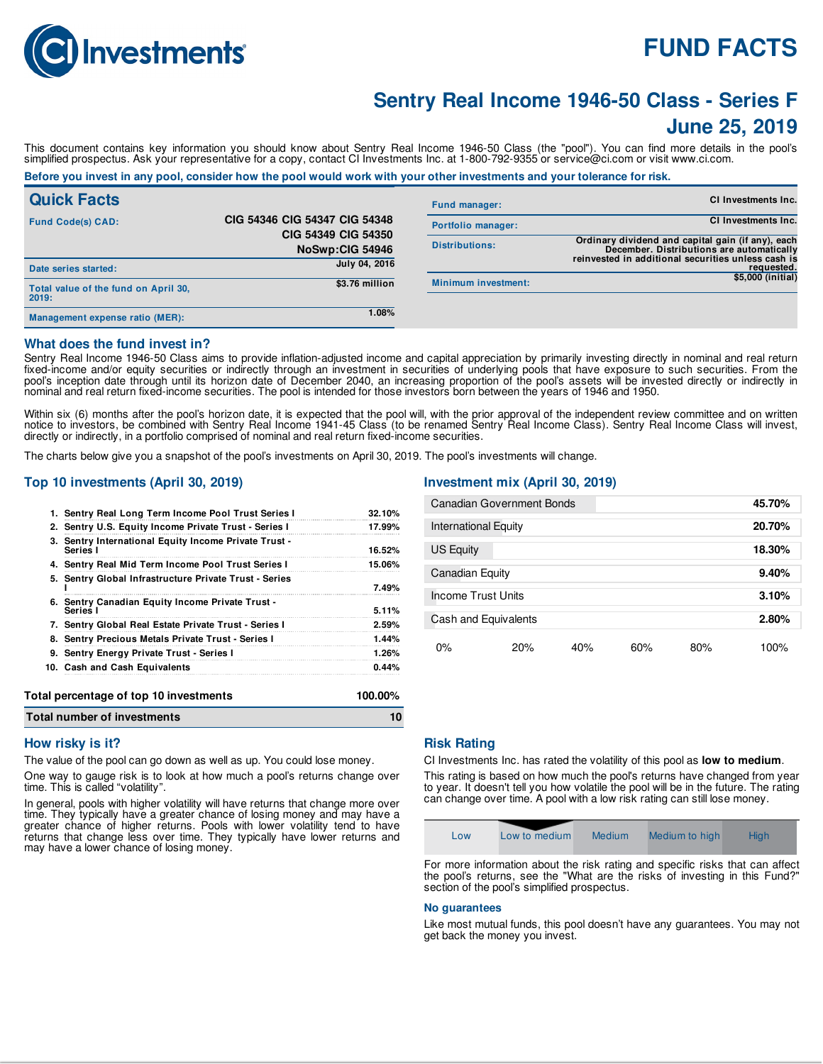

# **FUND FACTS**

# **Sentry Real Income 1946-50 Class - Series F June 25, 2019**

This document contains key information you should know about Sentry Real Income 1946-50 Class (the "pool"). You can find more details in the pool's simplified prospectus. Ask your representative for a copy, contact CI Investments Inc. at 1-800-792-9355 or service@ci.com or visit www.ci.com.

# Before you invest in any pool, consider how the pool would work with your other investments and your tolerance for risk.

| <b>Quick Facts</b>                            |                                        | <b>Fund manager:</b>       | <b>CI Investments Inc.</b>                                                                     |
|-----------------------------------------------|----------------------------------------|----------------------------|------------------------------------------------------------------------------------------------|
| <b>Fund Code(s) CAD:</b>                      | CIG 54346 CIG 54347 CIG 54348          | Portfolio manager:         | <b>CI Investments Inc.</b>                                                                     |
|                                               | CIG 54349 CIG 54350<br>NoSwp:CIG 54946 | <b>Distributions:</b>      | Ordinary dividend and capital gain (if any), each<br>December. Distributions are automatically |
| Date series started:                          | July 04, 2016                          |                            | reinvested in additional securities unless cash is<br>requested.                               |
| Total value of the fund on April 30,<br>2019: | \$3.76 million                         | <b>Minimum investment:</b> | \$5,000 (initial)                                                                              |
| Management expense ratio (MER):               | 1.08%                                  |                            |                                                                                                |

#### **What does the fund invest in?**

Sentry Real Income 1946-50 Class aims to provide inflation-adjusted income and capital appreciation by primarily investing directly in nominal and real return fixed-income and/or equity securities or indirectly through an investment in securities of underlying pools that have exposure to such securities. From the pool's inception date through until its horizon date of December 2040, an increasing proportion of the pool's assets will be invested directly or indirectly in nominal and real return fixed-income securities. The pool is intended for those investors born between the years of 1946 and 1950.

Within six (6) months after the pool's horizon date, it is expected that the pool will, with the prior approval of the independent review committee and on written notice to investors, be combined with Sentry Real Income 1941-45 Class (to be renamed Sentry Real Income Class). Sentry Real Income Class will invest, directly or indirectly, in a portfolio comprised of nominal and real return fixed-income securities.

The charts below give you a snapshot of the pool's investments on April 30, 2019. The pool's investments will change.

### **Top 10 investments (April 30, 2019)**

| Total number of investments                                       |         |
|-------------------------------------------------------------------|---------|
| Total percentage of top 10 investments                            | 100.00% |
| 10. Cash and Cash Equivalents                                     | 0.44%   |
| 9. Sentry Energy Private Trust - Series I                         | 1.26%   |
| 8. Sentry Precious Metals Private Trust - Series I                | 1.44%   |
| 7. Sentry Global Real Estate Private Trust - Series I             | 2.59%   |
| 6. Sentry Canadian Equity Income Private Trust -<br>Series I      | 5.11%   |
| 5. Sentry Global Infrastructure Private Trust - Series            | 7.49%   |
| 4. Sentry Real Mid Term Income Pool Trust Series I                | 15.06%  |
| 3. Sentry International Equity Income Private Trust -<br>Series I | 16.52%  |
| 2. Sentry U.S. Equity Income Private Trust - Series I             | 17.99%  |
| 1. Sentry Real Long Term Income Pool Trust Series I               | 32.10%  |
|                                                                   |         |

## **Investment mix (April 30, 2019)**

| Canadian Government Bonds   |     |     |       |     | 45.70% |
|-----------------------------|-----|-----|-------|-----|--------|
| <b>International Equity</b> |     |     |       |     | 20.70% |
| US Equity                   |     |     |       |     | 18.30% |
| Canadian Equity             |     |     |       |     | 9.40%  |
| Income Trust Units          |     |     |       |     | 3.10%  |
| Cash and Equivalents        |     |     | 2.80% |     |        |
| 0%                          | 20% | 40% | 60%   | 80% | 100%   |

#### **How risky is it?**

The value of the pool can go down as well as up. You could lose money.

One way to gauge risk is to look at how much a pool's returns change over time. This is called "volatility".

In general, pools with higher volatility will have returns that change more over time. They typically have a greater chance of losing money and may have a greater chance of higher returns. Pools with lower volatility tend to have returns that change less over time. They typically have lower returns and may have a lower chance of losing money.

#### **Risk Rating**

CI Investments Inc. has rated the volatility of this pool as **low to medium**.

This rating is based on how much the pool's returns have changed from year to year. It doesn't tell you how volatile the pool will be in the future. The rating can change over time. A pool with a low risk rating can still lose money.



For more information about the risk rating and specific risks that can affect the pool's returns, see the "What are the risks of investing in this Fund?" section of the pool's simplified prospectus.

#### **No guarantees**

Like most mutual funds, this pool doesn't have any guarantees. You may not get back the money you invest.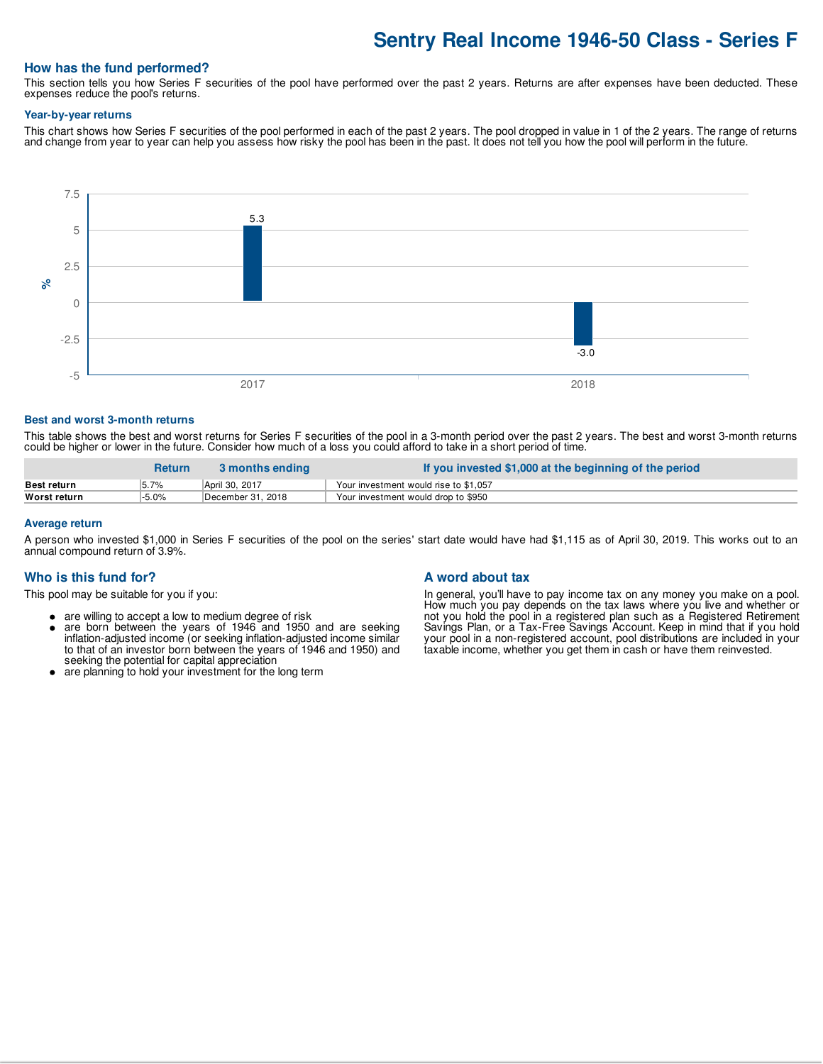# **Sentry Real Income 1946-50 Class - Series F**

## **How has the fund performed?**

This section tells you how Series F securities of the pool have performed over the past 2 years. Returns are after expenses have been deducted. These expenses reduce the pool's returns.

#### **Year-by-year returns**

This chart shows how Series F securities of the pool performed in each of the past 2 years. The pool dropped in value in 1 of the 2 years. The range of returns and change from year to year can help you assess how risky the pool has been in the past. It does not tell you how the pool will perform in the future.



#### **Best and worst 3-month returns**

This table shows the best and worst returns for Series F securities of the pool in a 3-month period over the past 2 years. The best and worst 3-month returns could be higher or lower in the future. Consider how much of a loss you could afford to take in a short period of time.

|                    | <b>Return</b> | 3 months ending   | If you invested \$1,000 at the beginning of the period |
|--------------------|---------------|-------------------|--------------------------------------------------------|
| <b>Best return</b> | 5.7%          | April 30, 2017    | Your investment would rise to \$1,057                  |
| Worst return       | 5.0%          | December 31. 2018 | Your investment would drop to \$950                    |

#### **Average return**

A person who invested \$1,000 in Series F securities of the pool on the series' start date would have had \$1,115 as of April 30, 2019. This works out to an annual compound return of 3.9%.

#### **Who is this fund for?**

This pool may be suitable for you if you:

- are willing to accept a low to medium degree of risk
- $\bullet$ are born between the years of 1946 and 1950 and are seeking inflation-adjusted income (or seeking inflation-adjusted income similar to that of an investor born between the years of 1946 and 1950) and seeking the potential for capital appreciation
- are planning to hold your investment for the long term

#### **A word about tax**

In general, you'll have to pay income tax on any money you make on a pool. How much you pay depends on the tax laws where you live and whether or not you hold the pool in a registered plan such as a Registered Retirement Savings Plan, or a Tax-Free Savings Account. Keep in mind that if you hold your pool in a non-registered account, pool distributions are included in your taxable income, whether you get them in cash or have them reinvested.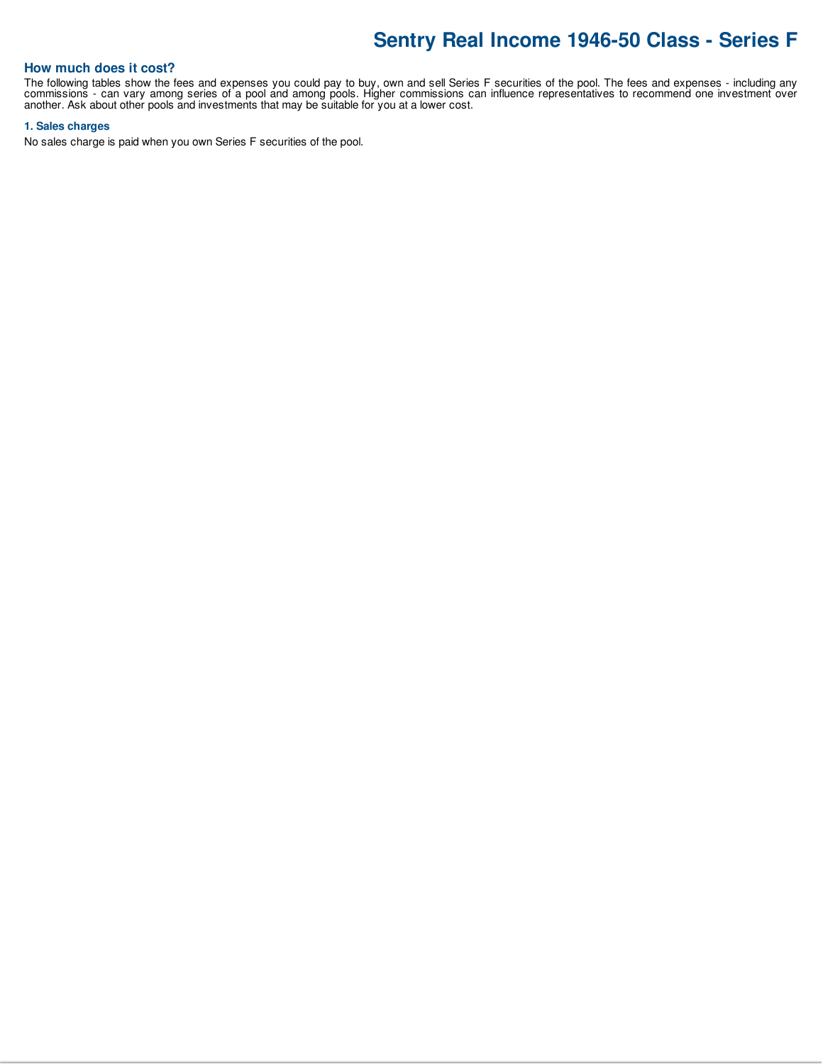# **Sentry Real Income 1946-50 Class - Series F**

# **How much does it cost?**

The following tables show the fees and expenses you could pay to buy, own and sell Series F securities of the pool. The fees and expenses - including any commissions - can vary among series of a pool and among pools. Higher commissions can influence representatives to recommend one investment over another. Ask about other pools and investments that may be suitable for you at a lower cost.

#### **1. Sales charges**

No sales charge is paid when you own Series F securities of the pool.